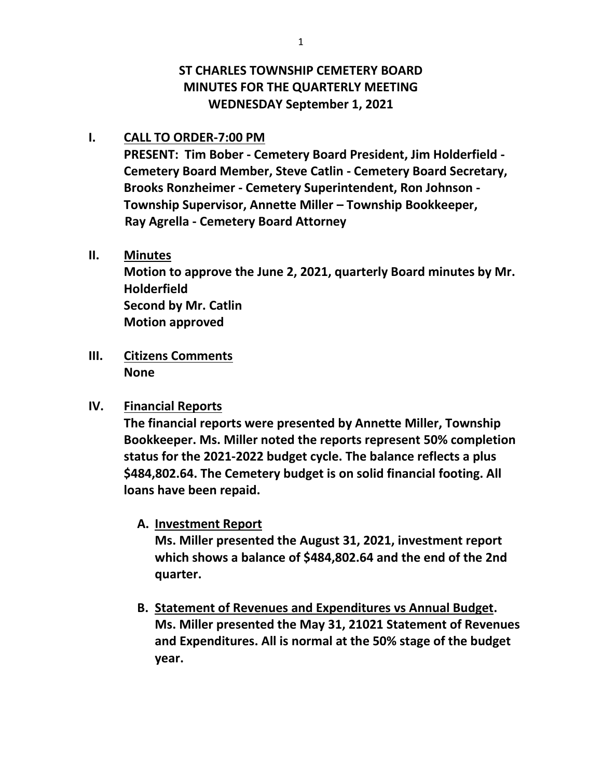# **ST CHARLES TOWNSHIP CEMETERY BOARD MINUTES FOR THE QUARTERLY MEETING WEDNESDAY September 1, 2021**

#### **I. CALL TO ORDER-7:00 PM**

**PRESENT: Tim Bober - Cemetery Board President, Jim Holderfield - Cemetery Board Member, Steve Catlin - Cemetery Board Secretary, Brooks Ronzheimer - Cemetery Superintendent, Ron Johnson - Township Supervisor, Annette Miller – Township Bookkeeper, Ray Agrella - Cemetery Board Attorney**

## **II. Minutes**

**Motion to approve the June 2, 2021, quarterly Board minutes by Mr. Holderfield Second by Mr. Catlin Motion approved**

**III. Citizens Comments None**

## **IV. Financial Reports**

**The financial reports were presented by Annette Miller, Township Bookkeeper. Ms. Miller noted the reports represent 50% completion status for the 2021-2022 budget cycle. The balance reflects a plus \$484,802.64. The Cemetery budget is on solid financial footing. All loans have been repaid.** 

## **A. Investment Report**

**Ms. Miller presented the August 31, 2021, investment report which shows a balance of \$484,802.64 and the end of the 2nd quarter.**

**B. Statement of Revenues and Expenditures vs Annual Budget. Ms. Miller presented the May 31, 21021 Statement of Revenues and Expenditures. All is normal at the 50% stage of the budget year.**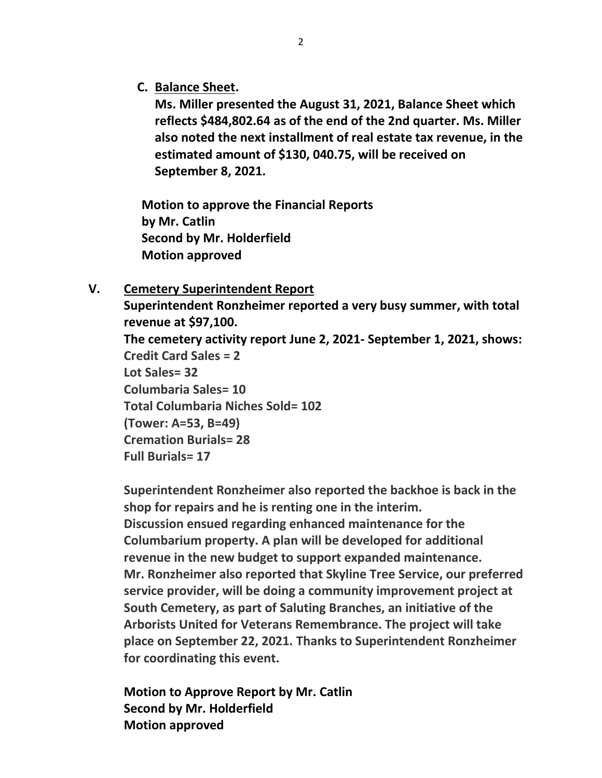**C. Balance Sheet.**

**Ms. Miller presented the August 31, 2021, Balance Sheet which reflects \$484,802.64 as of the end of the 2nd quarter. Ms. Miller also noted the next installment of real estate tax revenue, in the estimated amount of \$130, 040.75, will be received on September 8, 2021.**

**Motion to approve the Financial Reports by Mr. Catlin Second by Mr. Holderfield Motion approved**

#### **V. Cemetery Superintendent Report**

**Superintendent Ronzheimer reported a very busy summer, with total revenue at \$97,100. The cemetery activity report June 2, 2021- September 1, 2021, shows: Credit Card Sales = 2 Lot Sales= 32 Columbaria Sales= 10 Total Columbaria Niches Sold= 102 (Tower: A=53, B=49) Cremation Burials= 28 Full Burials= 17**

**Superintendent Ronzheimer also reported the backhoe is back in the shop for repairs and he is renting one in the interim. Discussion ensued regarding enhanced maintenance for the Columbarium property. A plan will be developed for additional revenue in the new budget to support expanded maintenance. Mr. Ronzheimer also reported that Skyline Tree Service, our preferred service provider, will be doing a community improvement project at South Cemetery, as part of Saluting Branches, an initiative of the Arborists United for Veterans Remembrance. The project will take place on September 22, 2021. Thanks to Superintendent Ronzheimer for coordinating this event.**

**Motion to Approve Report by Mr. Catlin Second by Mr. Holderfield Motion approved**